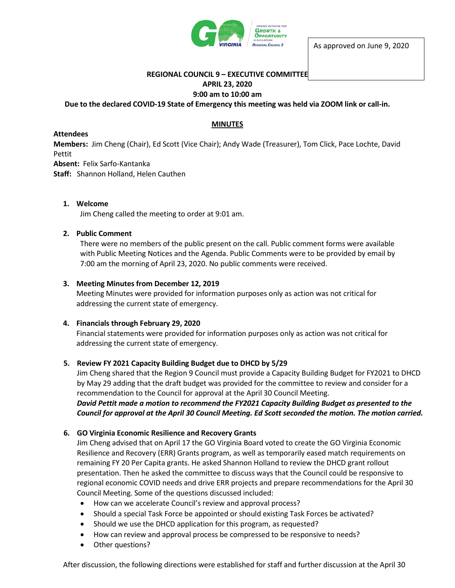

# **REGIONAL COUNCIL 9 – EXECUTIVE COMMITTEE**

# **APRIL 23, 2020**

### **9:00 am to 10:00 am**

## **Due to the declared COVID-19 State of Emergency this meeting was held via ZOOM link or call-in.**

# **MINUTES**

#### **Attendees**

**Members:** Jim Cheng (Chair), Ed Scott (Vice Chair); Andy Wade (Treasurer), Tom Click, Pace Lochte, David Pettit

**Absent:** Felix Sarfo-Kantanka

**Staff:** Shannon Holland, Helen Cauthen

# **1. Welcome**

Jim Cheng called the meeting to order at 9:01 am.

### **2. Public Comment**

There were no members of the public present on the call. Public comment forms were available with Public Meeting Notices and the Agenda. Public Comments were to be provided by email by 7:00 am the morning of April 23, 2020. No public comments were received.

### **3. Meeting Minutes from December 12, 2019**

Meeting Minutes were provided for information purposes only as action was not critical for addressing the current state of emergency.

### **4. Financials through February 29, 2020**

Financial statements were provided for information purposes only as action was not critical for addressing the current state of emergency.

### **5. Review FY 2021 Capacity Building Budget due to DHCD by 5/29**

Jim Cheng shared that the Region 9 Council must provide a Capacity Building Budget for FY2021 to DHCD by May 29 adding that the draft budget was provided for the committee to review and consider for a recommendation to the Council for approval at the April 30 Council Meeting.

*David Pettit made a motion to recommend the FY2021 Capacity Building Budget as presented to the Council for approval at the April 30 Council Meeting. Ed Scott seconded the motion. The motion carried.* 

### **6. GO Virginia Economic Resilience and Recovery Grants**

Jim Cheng advised that on April 17 the GO Virginia Board voted to create the GO Virginia Economic Resilience and Recovery (ERR) Grants program, as well as temporarily eased match requirements on remaining FY 20 Per Capita grants. He asked Shannon Holland to review the DHCD grant rollout presentation. Then he asked the committee to discuss ways that the Council could be responsive to regional economic COVID needs and drive ERR projects and prepare recommendations for the April 30 Council Meeting. Some of the questions discussed included:

- How can we accelerate Council's review and approval process?
- Should a special Task Force be appointed or should existing Task Forces be activated?
- Should we use the DHCD application for this program, as requested?
- How can review and approval process be compressed to be responsive to needs?
- Other questions?